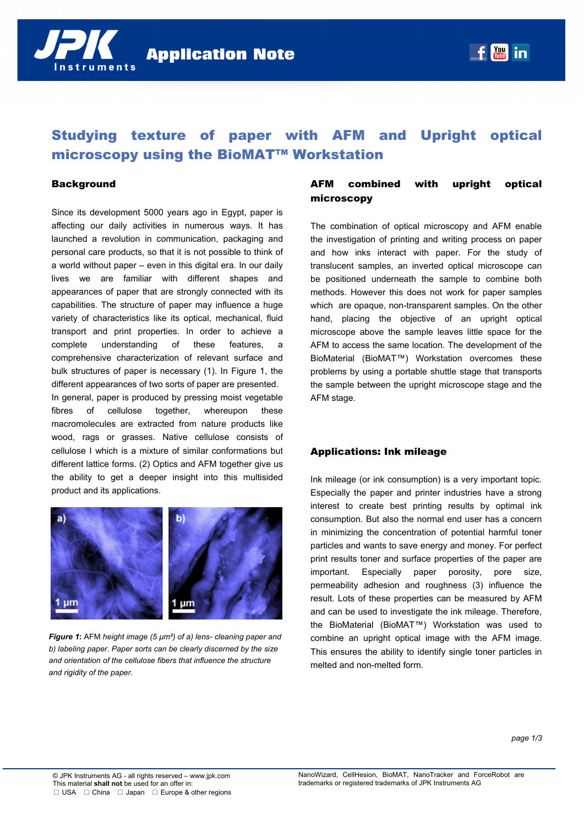

# Studying texture of paper with AFM and Upright optical microscopy using the BioMAT™ Workstation

#### **Background**

Since its development 5000 years ago in Egypt, paper is affecting our daily activities in numerous ways. It has launched a revolution in communication, packaging and personal care products, so that it is not possible to think of a world without paper – even in this digital era. In our daily lives we are familiar with different shapes and appearances of paper that are strongly connected with its capabilities. The structure of paper may influence a huge variety of characteristics like its optical, mechanical, fluid transport and print properties. In order to achieve a complete understanding of these features, a comprehensive characterization of relevant surface and bulk structures of paper is necessary (1). In Figure 1, the different appearances of two sorts of paper are presented. In general, paper is produced by pressing moist vegetable fibres of cellulose together, whereupon these macromolecules are extracted from nature products like wood, rags or grasses. Native cellulose consists of cellulose I which is a mixture of similar conformations but different lattice forms. (2) Optics and AFM together give us the ability to get a deeper insight into this multisided product and its applications.



*Figure 1***:** AFM *height image (5 µm²) of a) lens- cleaning paper and b) labeling paper. Paper sorts can be clearly discerned by the size and orientation of the cellulose fibers that influence the structure and rigidity of the paper.* 

## AFM combined with upright optical microscopy

The combination of optical microscopy and AFM enable the investigation of printing and writing process on paper and how inks interact with paper. For the study of translucent samples, an inverted optical microscope can be positioned underneath the sample to combine both methods. However this does not work for paper samples which are opaque, non-transparent samples. On the other hand, placing the objective of an upright optical microscope above the sample leaves little space for the AFM to access the same location. The development of the BioMaterial (BioMAT™) Workstation overcomes these problems by using a portable shuttle stage that transports the sample between the upright microscope stage and the AFM stage.

#### Applications: Ink mileage

Ink mileage (or ink consumption) is a very important topic. Especially the paper and printer industries have a strong interest to create best printing results by optimal ink consumption. But also the normal end user has a concern in minimizing the concentration of potential harmful toner particles and wants to save energy and money. For perfect print results toner and surface properties of the paper are important. Especially paper porosity, pore size, permeability adhesion and roughness (3) influence the result. Lots of these properties can be measured by AFM and can be used to investigate the ink mileage. Therefore, the BioMaterial (BioMAT™) Workstation was used to combine an upright optical image with the AFM image. This ensures the ability to identify single toner particles in melted and non-melted form.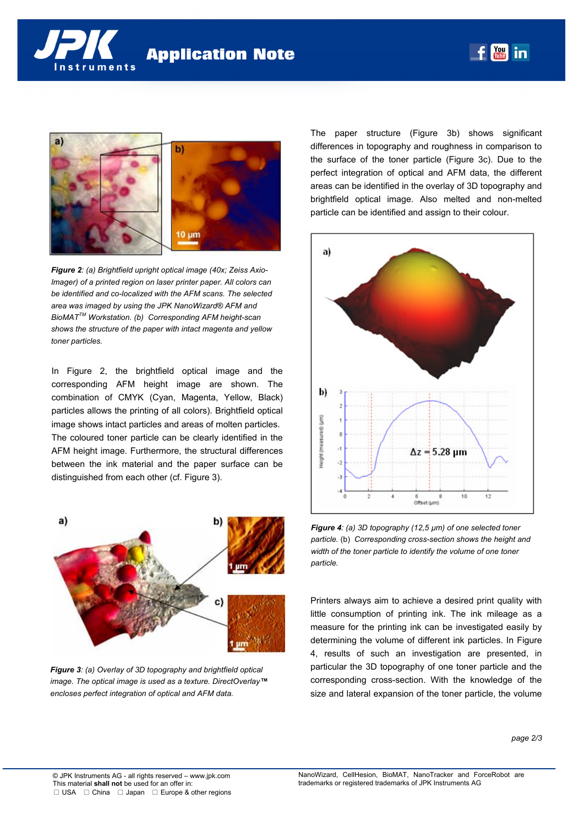



*Figure 2: (a) Brightfield upright optical image (40x; Zeiss Axio-Imager)* of a printed region on laser printer paper. All colors can *be identified and co-localized with the AFM scans. The selected area was imaged by using the JPK NanoWizard® AFM and BioMATTM Workstation. (b) Corresponding AFM height-scan shows the structure of the paper with intact magenta and yellow toner particles.* 

In Figure 2, the brightfield optical image and the corresponding AFM height image are shown. The combination of CMYK (Cyan, Magenta, Yellow, Black) particles allows the printing of all colors). Brightfield optical image shows intact particles and areas of molten particles. The coloured toner particle can be clearly identified in the AFM height image. Furthermore, the structural differences between the ink material and the paper surface can be distinguished from each other (cf. Figure 3).



*Figure 3: (a) Overlay of 3D topography and brightfield optical image. The optical image is used as a texture. DirectOverlay™ encloses perfect integration of optical and AFM data.* 

The paper structure (Figure 3b) shows significant differences in topography and roughness in comparison to the surface of the toner particle (Figure 3c). Due to the perfect integration of optical and AFM data, the different areas can be identified in the overlay of 3D topography and brightfield optical image. Also melted and non-melted particle can be identified and assign to their colour.

 $\boxed{\frac{You}{fmln}}$ 

in



*Figure 4: (a) 3D topography (12,5 µm) of one selected toner particle.* (b) *Corresponding cross-section shows the height and width of the toner particle to identify the volume of one toner particle.* 

Printers always aim to achieve a desired print quality with little consumption of printing ink. The ink mileage as a measure for the printing ink can be investigated easily by determining the volume of different ink particles. In Figure 4, results of such an investigation are presented, in particular the 3D topography of one toner particle and the corresponding cross-section. With the knowledge of the size and lateral expansion of the toner particle, the volume

*page 2/3*